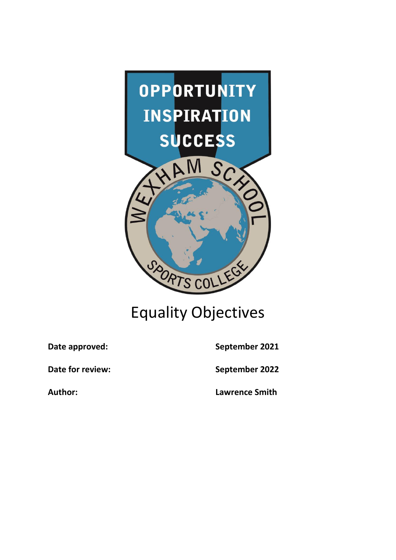

## Equality Objectives

Date approved: September 2021

**Date for review:** September 2022

**Author: Lawrence Smith**